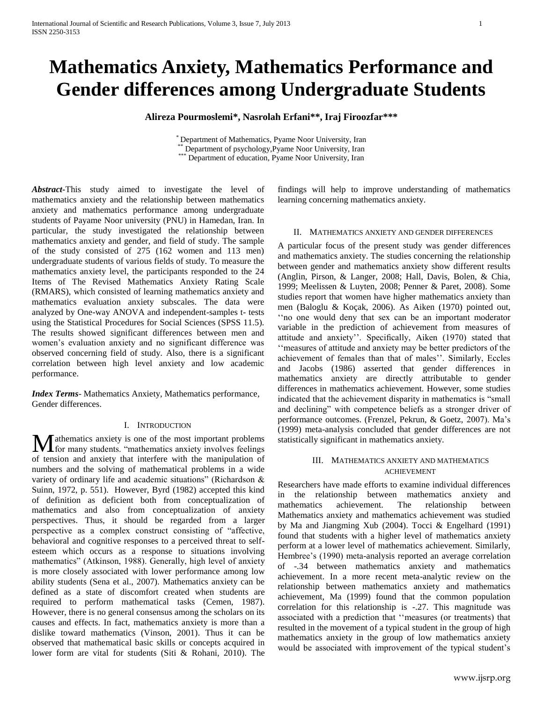# **Mathematics Anxiety, Mathematics Performance and Gender differences among Undergraduate Students**

**Alireza Pourmoslemi\*, Nasrolah Erfani\*\*, Iraj Firoozfar\*\*\***

\* Department of Mathematics, Pyame Noor University, Iran Department of psychology,Pyame Noor University, Iran \*\*\* Department of education, Pyame Noor University, Iran

*Abstract***-**This study aimed to investigate the level of mathematics anxiety and the relationship between mathematics anxiety and mathematics performance among undergraduate students of Payame Noor university (PNU) in Hamedan, Iran. In particular, the study investigated the relationship between mathematics anxiety and gender, and field of study. The sample of the study consisted of 275 (162 women and 113 men) undergraduate students of various fields of study. To measure the mathematics anxiety level, the participants responded to the 24 Items of The Revised Mathematics Anxiety Rating Scale (RMARS), which consisted of learning mathematics anxiety and mathematics evaluation anxiety subscales. The data were analyzed by One-way ANOVA and independent-samples t- tests using the Statistical Procedures for Social Sciences (SPSS 11.5). The results showed significant differences between men and women's evaluation anxiety and no significant difference was observed concerning field of study. Also, there is a significant correlation between high level anxiety and low academic performance.

*Index Terms*- Mathematics Anxiety, Mathematics performance, Gender differences.

# I. INTRODUCTION

**M** athematics anxiety is one of the most important problems for many students. "mathematics anxiety involves feelings **for many students. "mathematics anxiety involves feelings** of tension and anxiety that interfere with the manipulation of numbers and the solving of mathematical problems in a wide variety of ordinary life and academic situations" (Richardson & Suinn, 1972, p. 551). However, Byrd (1982) accepted this kind of definition as deficient both from conceptualization of mathematics and also from conceptualization of anxiety perspectives. Thus, it should be regarded from a larger perspective as a complex construct consisting of "affective, behavioral and cognitive responses to a perceived threat to selfesteem which occurs as a response to situations involving mathematics" (Atkinson, 1988). Generally, high level of anxiety is more closely associated with lower performance among low ability students (Sena et al., 2007). Mathematics anxiety can be defined as a state of discomfort created when students are required to perform mathematical tasks (Cemen, 1987). However, there is no general consensus among the scholars on its causes and effects. In fact, mathematics anxiety is more than a dislike toward mathematics (Vinson, 2001). Thus it can be observed that mathematical basic skills or concepts acquired in lower form are vital for students (Siti & Rohani, 2010). The

findings will help to improve understanding of mathematics learning concerning mathematics anxiety.

## II. MATHEMATICS ANXIETY AND GENDER DIFFERENCES

A particular focus of the present study was gender differences and mathematics anxiety. The studies concerning the relationship between gender and mathematics anxiety show different results (Anglin, Pirson, & Langer, 2008; Hall, Davis, Bolen, & Chia, 1999; Meelissen & Luyten, 2008; Penner & Paret, 2008). Some studies report that women have higher mathematics anxiety than men (Baloglu & Koçak, 2006). As Aiken (1970) pointed out, "no one would deny that sex can be an important moderator variable in the prediction of achievement from measures of attitude and anxiety". Specifically, Aiken (1970) stated that "measures of attitude and anxiety may be better predictors of the achievement of females than that of males". Similarly, Eccles and Jacobs (1986) asserted that gender differences in mathematics anxiety are directly attributable to gender differences in mathematics achievement. However, some studies indicated that the achievement disparity in mathematics is "small and declining" with competence beliefs as a stronger driver of performance outcomes. (Frenzel, Pekrun, & Goetz, 2007). Ma"s (1999) meta-analysis concluded that gender differences are not statistically significant in mathematics anxiety.

# III. MATHEMATICS ANXIETY AND MATHEMATICS ACHIEVEMENT

Researchers have made efforts to examine individual differences in the relationship between mathematics anxiety and mathematics achievement. The relationship between Mathematics anxiety and mathematics achievement was studied by Ma and Jiangming Xub (2004). Tocci & Engelhard (1991) found that students with a higher level of mathematics anxiety perform at a lower level of mathematics achievement. Similarly, Hembree's (1990) meta-analysis reported an average correlation of -.34 between mathematics anxiety and mathematics achievement. In a more recent meta-analytic review on the relationship between mathematics anxiety and mathematics achievement, Ma (1999) found that the common population correlation for this relationship is -.27. This magnitude was associated with a prediction that ""measures (or treatments) that resulted in the movement of a typical student in the group of high mathematics anxiety in the group of low mathematics anxiety would be associated with improvement of the typical student's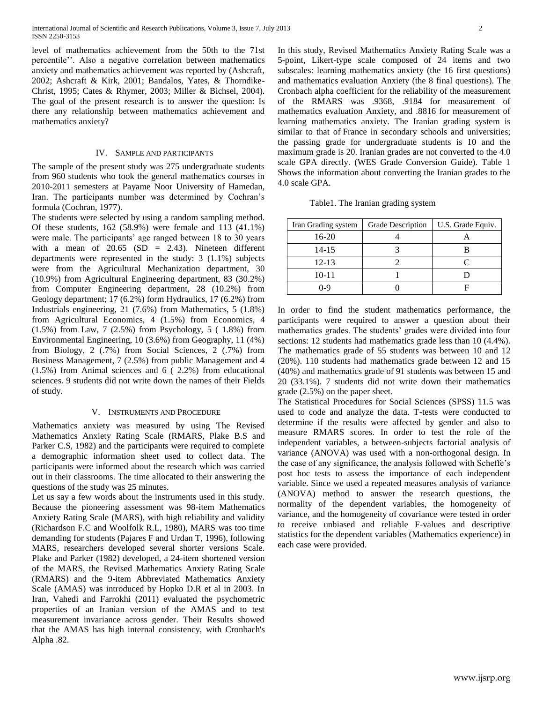level of mathematics achievement from the 50th to the 71st percentile". Also a negative correlation between mathematics anxiety and mathematics achievement was reported by (Ashcraft, 2002; Ashcraft & Kirk, 2001; Bandalos, Yates, & Thorndike-Christ, 1995; Cates & Rhymer, 2003; Miller & Bichsel, 2004). The goal of the present research is to answer the question: Is there any relationship between mathematics achievement and mathematics anxiety?

### IV. SAMPLE AND PARTICIPANTS

The sample of the present study was 275 undergraduate students from 960 students who took the general mathematics courses in 2010-2011 semesters at Payame Noor University of Hamedan, Iran. The participants number was determined by Cochran"s formula (Cochran, 1977).

The students were selected by using a random sampling method. Of these students, 162 (58.9%) were female and 113 (41.1%) were male. The participants' age ranged between 18 to 30 years with a mean of  $20.65$  (SD = 2.43). Nineteen different departments were represented in the study: 3 (1.1%) subjects were from the Agricultural Mechanization department, 30 (10.9%) from Agricultural Engineering department, 83 (30.2%) from Computer Engineering department, 28 (10.2%) from Geology department; 17 (6.2%) form Hydraulics, 17 (6.2%) from Industrials engineering, 21 (7.6%) from Mathematics, 5 (1.8%) from Agricultural Economics, 4 (1.5%) from Economics, 4 (1.5%) from Law, 7 (2.5%) from Psychology, 5 ( 1.8%) from Environmental Engineering, 10 (3.6%) from Geography, 11 (4%) from Biology, 2 (.7%) from Social Sciences, 2 (.7%) from Business Management, 7 (2.5%) from public Management and 4 (1.5%) from Animal sciences and 6 ( 2.2%) from educational sciences. 9 students did not write down the names of their Fields of study.

#### V. INSTRUMENTS AND PROCEDURE

Mathematics anxiety was measured by using The Revised Mathematics Anxiety Rating Scale (RMARS, Plake B.S and Parker C.S, 1982) and the participants were required to complete a demographic information sheet used to collect data. The participants were informed about the research which was carried out in their classrooms. The time allocated to their answering the questions of the study was 25 minutes.

Let us say a few words about the instruments used in this study. Because the pioneering assessment was 98-item Mathematics Anxiety Rating Scale (MARS), with high reliability and validity (Richardson F.C and Woolfolk R.L, 1980), MARS was too time demanding for students (Pajares F and Urdan T, 1996), following MARS, researchers developed several shorter versions Scale. Plake and Parker (1982) developed, a 24-item shortened version of the MARS, the Revised Mathematics Anxiety Rating Scale (RMARS) and the 9-item Abbreviated Mathematics Anxiety Scale (AMAS) was introduced by Hopko D.R et al in 2003. In Iran, [Vahedi](http://www.ncbi.nlm.nih.gov/pubmed/?term=Vahedi%20S%5Bauth%5D) and [Farrokhi](http://www.ncbi.nlm.nih.gov/pubmed/?term=Farrokhi%20F%5Bauth%5D) (2011) evaluated the psychometric properties of an Iranian version of the AMAS and to test measurement invariance across gender. Their Results showed that the AMAS has high internal consistency, with Cronbach's Alpha .82.

In this study, Revised Mathematics Anxiety Rating Scale was a 5-point, Likert-type scale composed of 24 items and two subscales: learning mathematics anxiety (the 16 first questions) and mathematics evaluation Anxiety (the 8 final questions). The Cronbach alpha coefficient for the reliability of the measurement of the RMARS was .9368, .9184 for measurement of mathematics evaluation Anxiety, and .8816 for measurement of learning mathematics anxiety. The Iranian grading system is similar to that of [France](http://en.wikipedia.org/wiki/Academic_grading_in_France) in secondary schools and universities; the passing grade for undergraduate students is 10 and the maximum grade is 20. Iranian grades are not converted to the 4.0 scale GPA directly. (WES Grade Conversion Guide). Table 1 Shows the information about converting the Iranian grades to the

Table1. The Iranian grading system

4.0 scale GPA.

| Iran Grading system | Grade Description | U.S. Grade Equiv. |
|---------------------|-------------------|-------------------|
| 16-20               |                   |                   |
| 14-15               |                   |                   |
| $12 - 13$           |                   |                   |
| $10 - 11$           |                   |                   |
| በ-ዓ                 |                   |                   |

In order to find the student mathematics performance, the participants were required to answer a question about their mathematics grades. The students' grades were divided into four sections: 12 students had mathematics grade less than 10 (4.4%). The mathematics grade of 55 students was between 10 and 12 (20%). 110 students had mathematics grade between 12 and 15 (40%) and mathematics grade of 91 students was between 15 and 20 (33.1%). 7 students did not write down their mathematics grade (2.5%) on the paper sheet.

The Statistical Procedures for Social Sciences (SPSS) 11.5 was used to code and analyze the data. T-tests were conducted to determine if the results were affected by gender and also to measure RMARS scores. In order to test the role of the independent variables, a between-subjects factorial analysis of variance (ANOVA) was used with a non-orthogonal design. In the case of any significance, the analysis followed with Scheffe"s post hoc tests to assess the importance of each independent variable. Since we used a repeated measures analysis of variance (ANOVA) method to answer the research questions, the normality of the dependent variables, the homogeneity of variance, and the homogeneity of covariance were tested in order to receive unbiased and reliable F-values and descriptive statistics for the dependent variables (Mathematics experience) in each case were provided.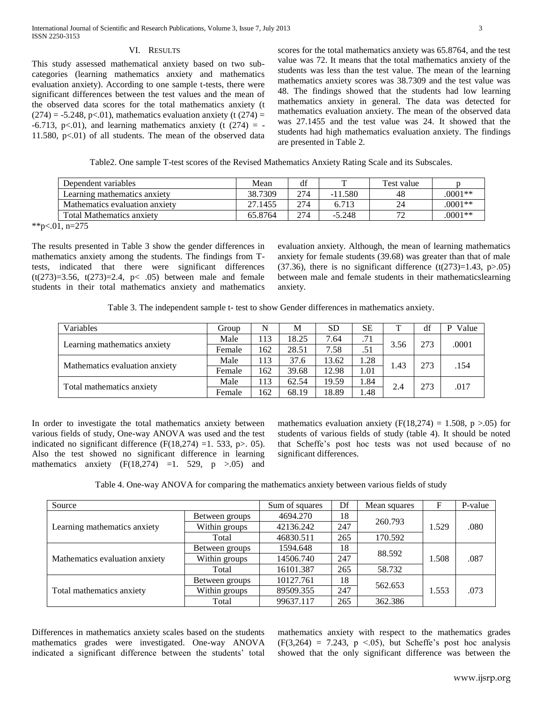## VI. RESULTS

This study assessed mathematical anxiety based on two subcategories (learning mathematics anxiety and mathematics evaluation anxiety). According to one sample t-tests, there were significant differences between the test values and the mean of the observed data scores for the total mathematics anxiety (t  $(274) = -5.248$ , p<.01), mathematics evaluation anxiety (t  $(274) =$  $-6.713$ , p<.01), and learning mathematics anxiety (t (274) = -11.580,  $p<01$ ) of all students. The mean of the observed data

scores for the total mathematics anxiety was 65.8764, and the test value was 72. It means that the total mathematics anxiety of the students was less than the test value. The mean of the learning mathematics anxiety scores was 38.7309 and the test value was 48. The findings showed that the students had low learning mathematics anxiety in general. The data was detected for mathematics evaluation anxiety. The mean of the observed data was 27.1455 and the test value was 24. It showed that the students had high mathematics evaluation anxiety. The findings are presented in Table 2.

Table2. One sample T-test scores of the Revised Mathematics Anxiety Rating Scale and its Subscales.

| Dependent variables              | Mean    | df  |           | Test value |           |
|----------------------------------|---------|-----|-----------|------------|-----------|
| Learning mathematics anxiety     | 38.7309 | 274 | $-11.580$ | 48         | $.0001**$ |
| Mathematics evaluation anxiety   | 27.1455 | 274 | 6.713     | 24         | $.0001**$ |
| <b>Total Mathematics anxiety</b> | 65.8764 | 274 | $-5.248$  | 70         | $.0001**$ |

\*\*p<.01, n=275

The results presented in Table 3 show the gender differences in mathematics anxiety among the students. The findings from Ttests, indicated that there were significant differences (t(273)=3.56, t(273)=2.4, p< .05) between male and female students in their total mathematics anxiety and mathematics evaluation anxiety. Although, the mean of learning mathematics anxiety for female students (39.68) was greater than that of male (37.36), there is no significant difference  $(t(273)=1.43, p>0.05)$ between male and female students in their mathematicslearning anxiety.

Table 3. The independent sample t- test to show Gender differences in mathematics anxiety.

| Variables                      | Group  | N   | М     | <b>SD</b> | <b>SE</b> | т    | df  | Value<br>D |
|--------------------------------|--------|-----|-------|-----------|-----------|------|-----|------------|
| Learning mathematics anxiety   | Male   | 113 | 18.25 | 7.64      | .71       | 3.56 | 273 | .0001      |
|                                | Female | 162 | 28.51 | 7.58      | .51       |      |     |            |
| Mathematics evaluation anxiety | Male   | 113 | 37.6  | 13.62     | 1.28      | 1.43 | 273 | .154       |
|                                | Female | 162 | 39.68 | 12.98     | 1.01      |      |     |            |
| Total mathematics anxiety      | Male   | 113 | 62.54 | 19.59     | 1.84      | 2.4  | 273 | .017       |
|                                | Female | 162 | 68.19 | 18.89     | 1.48      |      |     |            |

In order to investigate the total mathematics anxiety between various fields of study, One-way ANOVA was used and the test indicated no significant difference (F(18,274) =1. 533, p>. 05). Also the test showed no significant difference in learning mathematics anxiety  $(F(18,274) =1. 529, p >.05)$  and

mathematics evaluation anxiety (F(18,274) = 1.508, p >.05) for students of various fields of study (table 4). It should be noted that Scheffe"s post hoc tests was not used because of no significant differences.

Table 4. One-way ANOVA for comparing the mathematics anxiety between various fields of study

| Source                         |                | Sum of squares   | Df  | Mean squares | F     | P-value |
|--------------------------------|----------------|------------------|-----|--------------|-------|---------|
| Learning mathematics anxiety   | Between groups | 4694.270         | 18  | 260.793      |       |         |
|                                | Within groups  | 247<br>42136.242 |     |              | 1.529 | .080    |
|                                | Total          | 46830.511        | 265 | 170.592      |       |         |
| Mathematics evaluation anxiety | Between groups | 1594.648         | 18  | 88.592       |       |         |
|                                | Within groups  | 247<br>14506.740 |     | 1.508        | .087  |         |
|                                | Total          | 16101.387        | 265 | 58.732       |       |         |
| Total mathematics anxiety      | Between groups | 10127.761        | 18  | 562.653      | 1.553 | .073    |
|                                | Within groups  | 89509.355        | 247 |              |       |         |
|                                | Total          | 99637.117        | 265 | 362.386      |       |         |

Differences in mathematics anxiety scales based on the students mathematics grades were investigated. One-way ANOVA indicated a significant difference between the students' total

mathematics anxiety with respect to the mathematics grades  $(F(3,264) = 7.243, p \le 0.05)$ , but Scheffe's post hoc analysis showed that the only significant difference was between the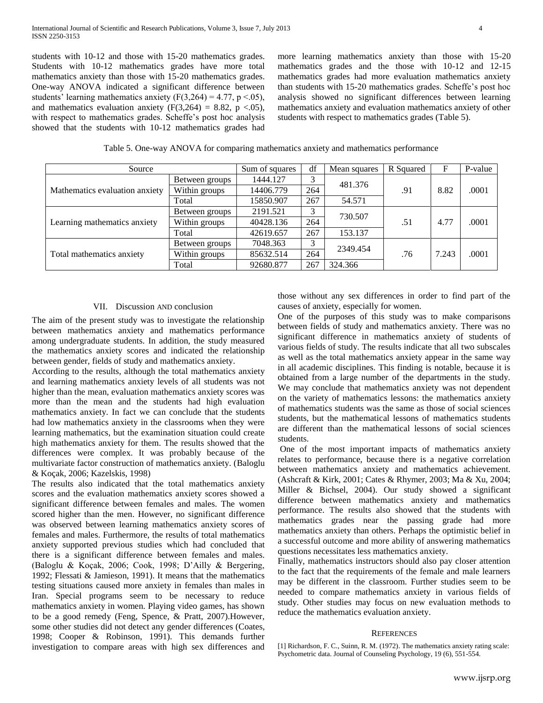students with 10-12 and those with 15-20 mathematics grades. Students with 10-12 mathematics grades have more total mathematics anxiety than those with 15-20 mathematics grades. One-way ANOVA indicated a significant difference between students' learning mathematics anxiety (F(3,264) = 4.77, p <.05), and mathematics evaluation anxiety  $(F(3,264) = 8.82, p \lt .05)$ , with respect to mathematics grades. Scheffe's post hoc analysis showed that the students with 10-12 mathematics grades had

more learning mathematics anxiety than those with 15-20 mathematics grades and the those with 10-12 and 12-15 mathematics grades had more evaluation mathematics anxiety than students with 15-20 mathematics grades. Scheffe"s post hoc analysis showed no significant differences between learning mathematics anxiety and evaluation mathematics anxiety of other students with respect to mathematics grades (Table 5).

Table 5. One-way ANOVA for comparing mathematics anxiety and mathematics performance

| Source                         |                | Sum of squares | df  | Mean squares | R Squared | F     | P-value |
|--------------------------------|----------------|----------------|-----|--------------|-----------|-------|---------|
| Mathematics evaluation anxiety | Between groups | 1444.127       | 3   | 481.376      |           | 8.82  | .0001   |
|                                | Within groups  | 14406.779      | 264 |              | .91       |       |         |
|                                | Total          | 15850.907      | 267 | 54.571       |           |       |         |
| Learning mathematics anxiety   | Between groups | 2191.521       | 3   | 730.507      | .51       | 4.77  | .0001   |
|                                | Within groups  | 40428.136      | 264 |              |           |       |         |
|                                | Total          | 42619.657      | 267 | 153.137      |           |       |         |
| Total mathematics anxiety      | Between groups | 7048.363       | 3   | 2349.454     |           |       |         |
|                                | Within groups  | 85632.514      | 264 |              | .76       | 7.243 | .0001   |
|                                | Total          | 92680.877      | 267 | 324.366      |           |       |         |

## VII. Discussion AND conclusion

The aim of the present study was to investigate the relationship between mathematics anxiety and mathematics performance among undergraduate students. In addition, the study measured the mathematics anxiety scores and indicated the relationship between gender, fields of study and mathematics anxiety.

According to the results, although the total mathematics anxiety and learning mathematics anxiety levels of all students was not higher than the mean, evaluation mathematics anxiety scores was more than the mean and the students had high evaluation mathematics anxiety. In fact we can conclude that the students had low mathematics anxiety in the classrooms when they were learning mathematics, but the examination situation could create high mathematics anxiety for them. The results showed that the differences were complex. It was probably because of the multivariate factor construction of mathematics anxiety. (Baloglu & Koçak, 2006; Kazelskis, 1998)

The results also indicated that the total mathematics anxiety scores and the evaluation mathematics anxiety scores showed a significant difference between females and males. The women scored higher than the men. However, no significant difference was observed between learning mathematics anxiety scores of females and males. Furthermore, the results of total mathematics anxiety supported previous studies which had concluded that there is a significant difference between females and males. (Baloglu & Koçak, 2006; Cook, 1998; D"Ailly & Bergering, 1992; Flessati & Jamieson, 1991). It means that the mathematics testing situations caused more anxiety in females than males in Iran. Special programs seem to be necessary to reduce mathematics anxiety in women. Playing video games, has shown to be a good remedy (Feng, Spence, & Pratt, 2007).However, some other studies did not detect any gender differences (Coates, 1998; Cooper & Robinson, 1991). This demands further investigation to compare areas with high sex differences and

those without any sex differences in order to find part of the causes of anxiety, especially for women.

One of the purposes of this study was to make comparisons between fields of study and mathematics anxiety. There was no significant difference in mathematics anxiety of students of various fields of study. The results indicate that all two subscales as well as the total mathematics anxiety appear in the same way in all academic disciplines. This finding is notable, because it is obtained from a large number of the departments in the study. We may conclude that mathematics anxiety was not dependent on the variety of mathematics lessons: the mathematics anxiety of mathematics students was the same as those of social sciences students, but the mathematical lessons of mathematics students are different than the mathematical lessons of social sciences students.

One of the most important impacts of mathematics anxiety relates to performance, because there is a negative correlation between mathematics anxiety and mathematics achievement. (Ashcraft & Kirk, 2001; Cates & Rhymer, 2003; Ma & Xu, 2004; Miller & Bichsel, 2004). Our study showed a significant difference between mathematics anxiety and mathematics performance. The results also showed that the students with mathematics grades near the passing grade had more mathematics anxiety than others. Perhaps the optimistic belief in a successful outcome and more ability of answering mathematics questions necessitates less mathematics anxiety.

Finally, mathematics instructors should also pay closer attention to the fact that the requirements of the female and male learners may be different in the classroom. Further studies seem to be needed to compare mathematics anxiety in various fields of study. Other studies may focus on new evaluation methods to reduce the mathematics evaluation anxiety.

#### **REFERENCES**

<sup>[1]</sup> Richardson, F. C., Suinn, R. M. (1972). The mathematics anxiety rating scale: Psychometric data. Journal of Counseling Psychology, 19 (6), 551-554.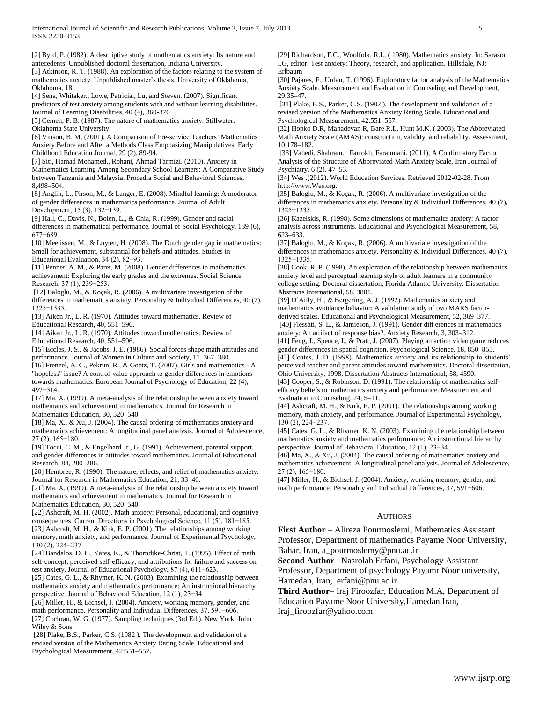[2] Byrd, P. (1982). A descriptive study of mathematics anxiety: Its nature and antecedents. Unpublished doctoral dissertation, Indiana University. [3] Atkinson, R. T. (1988). An exploration of the factors relating to the system of mathematics anxiety. Unpublished master"s thesis, University of Oklahoma, Oklahoma, 18

[4] Sena, Whitaker., Lowe, Patricia., Lu, and Steven. (2007). Significant predictors of test anxiety among students with and without learning disabilities. Journal of Learning Disabilities, 40 (4), 360-376

[5] Cemen, P. B. (1987). The nature of mathematics anxiety. Stillwater: Oklahoma State University.

[6] Vinson, B. M. (2001). A Comparison of Pre-service Teachers' Mathematics Anxiety Before and After a Methods Class Emphasizing Manipulatives. Early Childhood Education Journal, 29 (2), 89-94.

[7] Siti, Hamad Mohamed., Rohani, Ahmad Tarmizi. (2010). Anxiety in Mathematics Learning Among Secondary School Learners: A Comparative Study between Tanzania and Malaysia. Procedia Social and Behavioral Sciences, 8,498–504.

[8] Anglin, L., Pirson, M., & Langer, E. (2008). Mindful learning: A moderator of gender differences in mathematics performance. Journal of Adult Development, 15 (3), 132−139.

[9] Hall, C., Davis, N., Bolen, L., & Chia, R. (1999). Gender and racial differences in mathematical performance. Journal of Social Psychology, 139 (6), 677−689.

[10] Meelissen, M., & Luyten, H. (2008). The Dutch gender gap in mathematics: Small for achievement, substantial for beliefs and attitudes. Studies in Educational Evaluation, 34 (2), 82−93.

[11] Penner, A. M., & Paret, M. (2008). Gender differences in mathematics achievement: Exploring the early grades and the extremes. Social Science Research, 37 (1), 239−253.

[12] Baloglu, M., & Koçak, R. (2006). A multivariate investigation of the differences in mathematics anxiety. Personality & Individual Differences, 40 (7), 1325−1335.

[13] Aiken Jr., L. R. (1970). Attitudes toward mathematics. Review of Educational Research, 40, 551–596.

[14] Aiken Jr., L. R. (1970). Attitudes toward mathematics. Review of Educational Research, 40, 551–596.

[15] Eccles, J. S., & Jacobs, J. E. (1986). Social forces shape math attitudes and performance. Journal of Women in Culture and Society, 11, 367–380.

[16] Frenzel, A. C., Pekrun, R., & Goetz, T. (2007). Girls and mathematics - A "hopeless" issue? A control-value approach to gender differences in emotions towards mathematics. European Journal of Psychology of Education, 22 (4), 497−514.

[17] Ma, X. (1999). A meta-analysis of the relationship between anxiety toward mathematics and achievement in mathematics. Journal for Research in Mathematics Education, 30, 520–540.

[18] Ma, X., & Xu, J. (2004). The causal ordering of mathematics anxiety and mathematics achievement: A longitudinal panel analysis. Journal of Adolescence, 27 (2), 165−180.

[19] Tocci, C. M., & Engelhard Jr., G. (1991). Achievement, parental support, and gender differences in attitudes toward mathematics. Journal of Educational Research, 84, 280–286.

[20] Hembree, R. (1990). The nature, effects, and relief of mathematics anxiety. Journal for Research in Mathematics Education, 21, 33–46.

[21] Ma, X. (1999). A meta-analysis of the relationship between anxiety toward mathematics and achievement in mathematics. Journal for Research in Mathematics Education, 30, 520–540.

[22] Ashcraft, M. H. (2002). Math anxiety: Personal, educational, and cognitive consequences. Current Directions in Psychological Science, 11 (5), 181−185. [23] Ashcraft, M. H., & Kirk, E. P. (2001). The relationships among working

memory, math anxiety, and performance. Journal of Experimental Psychology, 130 (2), 224−237. [24] Bandalos, D. L., Yates, K., & Thorndike-Christ, T. (1995). Effect of math

self-concept, perceived self-efficacy, and attributions for failure and success on test anxiety. Journal of Educational Psychology, 87 (4), 611−623.

[25] Cates, G. L., & Rhymer, K. N. (2003). Examining the relationship between mathematics anxiety and mathematics performance: An instructional hierarchy perspective. Journal of Behavioral Education, 12 (1), 23−34.

[26] Miller, H., & Bichsel, J. (2004). Anxiety, working memory, gender, and math performance. Personality and Individual Differences, 37, 591−606. [27] Cochran, W. G. (1977). Sampling techniques (3rd Ed.). New York: John Wiley & Sons.

[28] Plake, B.S., Parker, C.S. (1982 ). The development and validation of a revised version of the Mathematics Anxiety Rating Scale. Educational and Psychological Measurement, 42:551–557.

[29] Richardson, F.C., Woolfolk, R.L. ( 1980). Mathematics anxiety. In: Sarason I.G, editor. Test anxiety: Theory, research, and application. Hillsdale, NJ: Erlbaum

[30] Pajares, F., Urdan, T. (1996). Exploratory factor analysis of the Mathematics Anxiety Scale. Measurement and Evaluation in Counseling and Development, 29:35–47.

[31] Plake, B.S., Parker, C.S. (1982 ). The development and validation of a revised version of the Mathematics Anxiety Rating Scale. Educational and Psychological Measurement, 42:551–557.

[32] Hopko D.R, Mahadevan R, Bare R.L, Hunt M.K. ( 2003). The Abbreviated Math Anxiety Scale (AMAS): construction, validity, and reliability. Assessment, 10:178–182.

[33] [Vahedi,](http://www.ncbi.nlm.nih.gov/pubmed/?term=Vahedi%20S%5Bauth%5D) Shahram.[, Farrokh, Farahmani.](http://www.ncbi.nlm.nih.gov/pubmed/?term=Farrokhi%20F%5Bauth%5D) (2011), A Confirmatory Factor Analysis of the Structure of Abbreviated Math Anxiety Scale, Iran Journal of Psychiatry, 6 (2), 47–53.

[34] Wes .(2012). World Education Services. Retrieved 2012-02-28. From http://www.Wes.org.

[35] Baloglu, M., & Koçak, R. (2006). A multivariate investigation of the differences in mathematics anxiety. Personality & Individual Differences, 40 (7), 1325−1335.

[36] Kazelskis, R. (1998). Some dimensions of mathematics anxiety: A factor analysis across instruments. Educational and Psychological Measurement, 58, 623–633.

[37] Baloglu, M., & Koçak, R. (2006). A multivariate investigation of the differences in mathematics anxiety. Personality & Individual Differences, 40 (7), 1325−1335.

[38] Cook, R. P. (1998). An exploration of the relationship between mathematics anxiety level and perceptual learning style of adult learners in a community college setting. Doctoral dissertation, Florida Atlantic University. Dissertation Abstracts International, 58, 3801.

[39] D"Ailly, H., & Bergering, A. J. (1992). Mathematics anxiety and mathematics avoidance behavior: A validation study of two MARS factorderived scales. Educational and Psychological Measurement, 52, 369–377. [40] Flessati, S. L., & Jamieson, J. (1991). Gender diff erences in mathematics

anxiety: An artifact of response bias?. Anxiety Research, 3, 303–312.

[41] Feng, J., Spence, I., & Pratt, J. (2007). Playing an action video game reduces gender differences in spatial cognition. Psychological Science, 18, 850–855. [42] Coates, J. D. (1998). Mathematics anxiety and its relationship to students' perceived teacher and parent attitudes toward mathematics. Doctoral dissertation, Ohio University, 1998. Dissertation Abstracts International, 58, 4590.

[43] Cooper, S., & Robinson, D. (1991). The relationship of mathematics selfefficacy beliefs to mathematics anxiety and performance. Measurement and Evaluation in Counseling, 24, 5–11.

[44] Ashcraft, M. H., & Kirk, E. P. (2001). The relationships among working memory, math anxiety, and performance. Journal of Experimental Psychology, 130 (2), 224−237.

[45] Cates, G. L., & Rhymer, K. N. (2003). Examining the relationship between mathematics anxiety and mathematics performance: An instructional hierarchy perspective. Journal of Behavioral Education, 12 (1), 23−34.

[46] Ma, X., & Xu, J. (2004). The causal ordering of mathematics anxiety and mathematics achievement: A longitudinal panel analysis. Journal of Adolescence, 27 (2), 165−180.

[47] Miller, H., & Bichsel, J. (2004). Anxiety, working memory, gender, and math performance. Personality and Individual Differences, 37, 591−606.

# **AUTHORS**

**First Author** – Alireza Pourmoslemi, Mathematics Assistant Professor, Department of mathematics Payame Noor University, Bahar, Iran, a\_pourmoslemy@pnu.ac.ir

**Second Author**– Nasrolah Erfani, Psychology Assistant

Professor, Department of psychology Payamr Noor university, Hamedan, Iran, erfani@pnu.ac.ir

**Third Author**– Iraj Firoozfar, Education M.A, Department of Education Payame Noor University,Hamedan Iran,

Iraj\_firoozfar@yahoo.com